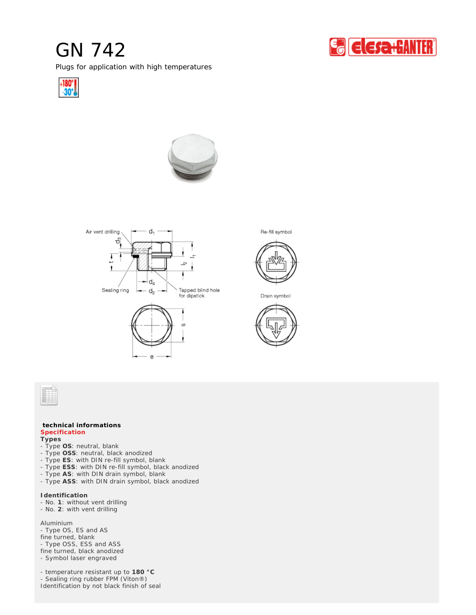## GN 742

Plugs for application with high temperatures









Re-fill symbol



Drain symbol



## **technical informations Specification**

**Types**

- Type **OS**: neutral, blank
- Type **OSS**: neutral, black anodized
- Type **ES**: with DIN re-fill symbol, blank
- Type **ESS**: with DIN re-fill symbol, black anodized
- Type **AS**: with DIN drain symbol, blank
- Type **ASS**: with DIN drain symbol, black anodized

**Identification**

- No. **1**: without vent drilling
- No. **2**: with vent drilling

Aluminium

- Type OS, ES and AS

fine turned, blank

- Type OSS, ESS and ASS
- fine turned, black anodized

- Symbol laser engraved

- temperature resistant up to **180 °C** - Sealing ring rubber FPM (Viton®) Identification by not black finish of seal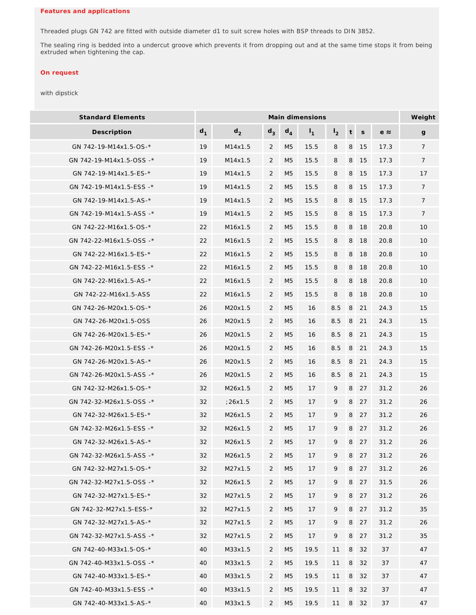Threaded plugs GN 742 are fitted with outside diameter d1 to suit screw holes with BSP threads to DIN 3852.

The sealing ring is bedded into a undercut groove which prevents it from dropping out and at the same time stops it from being extruded when tightening the cap.

## *On request*

## with dipstick

| <b>Standard Elements</b> | Main dimensions |                |                |                |                |                |   |             |             | Weight          |
|--------------------------|-----------------|----------------|----------------|----------------|----------------|----------------|---|-------------|-------------|-----------------|
| Description              | $d_1$           | d <sub>2</sub> | $d_3$          | $d_4$          | $\mathsf{I}_1$ | $\mathsf{I}_2$ | t | $\mathsf S$ | $e \approx$ | $\mathsf{g}$    |
| GN 742-19-M14x1.5-OS-*   | 19              | M14x1.5        | $\overline{2}$ | M <sub>5</sub> | 15.5           | 8              | 8 | 15          | 17.3        | $7\phantom{.}$  |
| GN 742-19-M14x1.5-OSS -* | 19              | M14x1.5        | $\overline{2}$ | M <sub>5</sub> | 15.5           | 8              | 8 | 15          | 17.3        | $7\phantom{.}$  |
| GN 742-19-M14x1.5-ES-*   | 19              | M14x1.5        | $\overline{2}$ | M <sub>5</sub> | 15.5           | 8              | 8 | 15          | 17.3        | 17              |
| GN 742-19-M14x1.5-ESS -* | 19              | M14x1.5        | $\overline{2}$ | M <sub>5</sub> | 15.5           | 8              | 8 | 15          | 17.3        | $\overline{7}$  |
| GN 742-19-M14x1.5-AS-*   | 19              | M14x1.5        | 2              | M5             | 15.5           | 8              | 8 | 15          | 17.3        | $\overline{7}$  |
| GN 742-19-M14x1.5-ASS -* | 19              | M14x1.5        | 2              | M5             | 15.5           | 8              | 8 | 15          | 17.3        | $7\phantom{.}$  |
| GN 742-22-M16x1.5-OS-*   | 22              | M16x1.5        | $\overline{2}$ | M <sub>5</sub> | 15.5           | 8              | 8 | 18          | 20.8        | 10              |
| GN 742-22-M16x1.5-OSS -* | 22              | M16x1.5        | $\overline{2}$ | M <sub>5</sub> | 15.5           | 8              | 8 | 18          | 20.8        | 10              |
| GN 742-22-M16x1.5-ES-*   | 22              | M16x1.5        | $\overline{2}$ | M <sub>5</sub> | 15.5           | 8              | 8 | 18          | 20.8        | 10              |
| GN 742-22-M16x1.5-ESS -* | 22              | M16x1.5        | 2              | M5             | 15.5           | 8              | 8 | -18         | 20.8        | 10 <sup>°</sup> |
| GN 742-22-M16x1.5-AS-*   | 22              | M16x1.5        | $\overline{2}$ | M <sub>5</sub> | 15.5           | 8              | 8 | 18          | 20.8        | 10              |
| GN 742-22-M16x1.5-ASS    | 22              | M16x1.5        | 2              | M5             | 15.5           | 8              | 8 | 18          | 20.8        | 10              |
| GN 742-26-M20x1.5-OS-*   | 26              | M20x1.5        | 2              | M <sub>5</sub> | 16             | 8.5            | 8 | 21          | 24.3        | 15              |
| GN 742-26-M20x1.5-OSS    | 26              | M20x1.5        | 2              | M5             | 16             | 8.5            | 8 | 21          | 24.3        | 15              |
| GN 742-26-M20x1.5-ES-*   | 26              | M20x1.5        | 2              | M <sub>5</sub> | 16             | 8.5            | 8 | 21          | 24.3        | 15              |
| GN 742-26-M20x1.5-ESS -* | 26              | M20x1.5        | $\overline{2}$ | M5             | 16             | 8.5            | 8 | 21          | 24.3        | 15              |
| GN 742-26-M20x1.5-AS-*   | 26              | M20x1.5        | $\overline{2}$ | M <sub>5</sub> | 16             | 8.5            | 8 | 21          | 24.3        | 15              |
| GN 742-26-M20x1.5-ASS -* | 26              | M20x1.5        | $\overline{2}$ | M <sub>5</sub> | 16             | 8.5            | 8 | 21          | 24.3        | 15              |
| GN 742-32-M26x1.5-OS-*   | 32              | M26x1.5        | $\overline{2}$ | M <sub>5</sub> | 17             | 9              | 8 | 27          | 31.2        | 26              |
| GN 742-32-M26x1.5-OSS -* | 32              | :26x1.5        | $\overline{2}$ | M <sub>5</sub> | 17             | 9              | 8 | 27          | 31.2        | 26              |
| GN 742-32-M26x1.5-ES-*   | 32              | M26x1.5        | 2              | M <sub>5</sub> | 17             | 9              | 8 | 27          | 31.2        | 26              |
| GN 742-32-M26x1.5-ESS -* | 32              | M26x1.5        | 2              | M <sub>5</sub> | 17             | 9              | 8 | 27          | 31.2        | 26              |
| GN 742-32-M26x1.5-AS-*   | 32              | M26x1.5        | $\overline{2}$ | M5             | 17             | 9              | 8 | 27          | 31.2        | 26              |
| GN 742-32-M26x1.5-ASS -* | 32              | M26x1.5        | 2              | M <sub>5</sub> | 17             | 9              | 8 | 27          | 31.2        | 26              |
| GN 742-32-M27x1.5-OS-*   | 32              | M27x1.5        | $\overline{2}$ | M <sub>5</sub> | 17             | 9              |   | 8 27        | 31.2        | 26              |
| GN 742-32-M27x1.5-OSS -* | 32              | M26x1.5        | $\overline{2}$ | M5             | 17             | 9              | 8 | 27          | 31.5        | 26              |
| GN 742-32-M27x1.5-ES-*   | 32              | M27x1.5        | $\overline{2}$ | M <sub>5</sub> | 17             | 9              | 8 | 27          | 31.2        | 26              |
| GN 742-32-M27x1.5-ESS-*  | 32              | M27x1.5        | $\overline{2}$ | M <sub>5</sub> | 17             | 9              | 8 | 27          | 31.2        | 35              |
| GN 742-32-M27x1.5-AS-*   | 32              | M27x1.5        | 2              | M <sub>5</sub> | 17             | 9              | 8 | 27          | 31.2        | 26              |
| GN 742-32-M27x1.5-ASS -* | 32              | M27x1.5        | $\overline{2}$ | M <sub>5</sub> | 17             | 9              | 8 | 27          | 31.2        | 35              |
| GN 742-40-M33x1.5-OS-*   | 40              | M33x1.5        | 2              | M5             | 19.5           | 11             | 8 | 32          | 37          | 47              |
| GN 742-40-M33x1.5-OSS -* | 40              | M33x1.5        | $\overline{2}$ | M <sub>5</sub> | 19.5           | 11             | 8 | 32          | 37          | 47              |
| GN 742-40-M33x1.5-ES-*   | 40              | M33x1.5        | $\overline{2}$ | M <sub>5</sub> | 19.5           | 11             | 8 | 32          | 37          | 47              |
| GN 742-40-M33x1.5-ESS -* | 40              | M33x1.5        | $\overline{2}$ | M5             | 19.5           | 11             | 8 | 32          | 37          | 47              |
| GN 742-40-M33x1.5-AS-*   | 40              | M33x1.5        | $\overline{2}$ | M5             | 19.5           | 11             | 8 | 32          | 37          | 47              |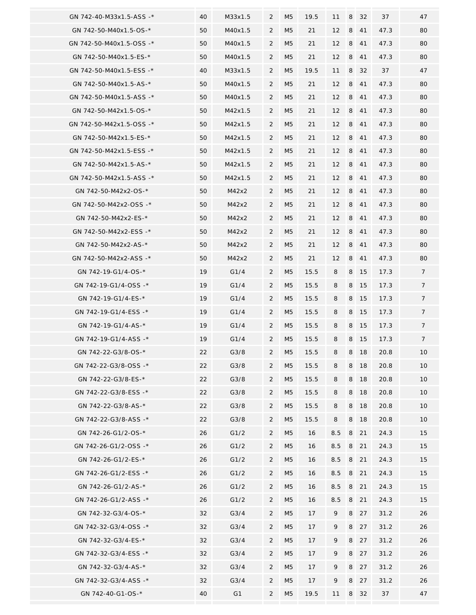| GN 742-40-M33x1.5-ASS -* | 40 | M33x1.5        | 2              | M5             | 19.5 | 11      | 8 | 32 | 37   | 47              |
|--------------------------|----|----------------|----------------|----------------|------|---------|---|----|------|-----------------|
| GN 742-50-M40x1.5-OS-*   | 50 | M40x1.5        | 2              | M <sub>5</sub> | 21   | 12      | 8 | 41 | 47.3 | 80              |
| GN 742-50-M40x1.5-OSS -* | 50 | M40x1.5        | 2              | M5             | 21   | 12      | 8 | 41 | 47.3 | 80              |
| GN 742-50-M40x1.5-ES-*   | 50 | M40x1.5        | 2              | M <sub>5</sub> | 21   | 12      | 8 | 41 | 47.3 | 80              |
| GN 742-50-M40x1.5-ESS -* | 40 | M33x1.5        | 2              | M5             | 19.5 | 11      | 8 | 32 | 37   | 47              |
| GN 742-50-M40x1.5-AS-*   | 50 | M40x1.5        | 2              | M <sub>5</sub> | 21   | 12      | 8 | 41 | 47.3 | 80              |
| GN 742-50-M40x1.5-ASS -* | 50 | M40x1.5        | $\overline{2}$ | M <sub>5</sub> | 21   | 12      | 8 | 41 | 47.3 | 80              |
| GN 742-50-M42x1.5-OS-*   | 50 | M42x1.5        | $\overline{2}$ | M <sub>5</sub> | 21   | 12      | 8 | 41 | 47.3 | 80              |
| GN 742-50-M42x1.5-OSS -* | 50 | M42x1.5        | 2              | M5             | 21   | 12      | 8 | 41 | 47.3 | 80              |
| GN 742-50-M42x1.5-ES-*   | 50 | M42x1.5        | 2              | M5             | 21   | 12      | 8 | 41 | 47.3 | 80              |
| GN 742-50-M42x1.5-ESS -* | 50 | M42x1.5        | 2              | M5             | 21   | 12      | 8 | 41 | 47.3 | 80              |
| GN 742-50-M42x1.5-AS-*   | 50 | M42x1.5        | 2              | M5             | 21   | 12      | 8 | 41 | 47.3 | 80              |
| GN 742-50-M42x1.5-ASS -* | 50 | M42x1.5        | 2              | M5             | 21   | 12      | 8 | 41 | 47.3 | 80              |
| GN 742-50-M42x2-OS-*     | 50 | M42x2          | $\overline{2}$ | M5             | 21   | 12      | 8 | 41 | 47.3 | 80              |
| GN 742-50-M42x2-OSS-*    | 50 | M42x2          | $\overline{2}$ | M <sub>5</sub> | 21   | 12      | 8 | 41 | 47.3 | 80              |
| GN 742-50-M42x2-ES-*     | 50 | M42x2          | $\overline{2}$ | M <sub>5</sub> | 21   | 12      | 8 | 41 | 47.3 | 80              |
| GN 742-50-M42x2-ESS -*   | 50 | M42x2          | $\overline{2}$ | M <sub>5</sub> | 21   | 12      | 8 | 41 | 47.3 | 80              |
| GN 742-50-M42x2-AS-*     | 50 | M42x2          | $\overline{2}$ | M5             | 21   | 12      | 8 | 41 | 47.3 | 80              |
| GN 742-50-M42x2-ASS -*   | 50 | M42x2          | $\overline{2}$ | M5             | 21   | 12      | 8 | 41 | 47.3 | 80              |
| GN 742-19-G1/4-OS-*      | 19 | G1/4           | $\overline{2}$ | M5             | 15.5 | 8       | 8 | 15 | 17.3 | $\overline{7}$  |
| GN 742-19-G1/4-OSS -*    | 19 | G1/4           | $\overline{2}$ | M5             | 15.5 | 8       | 8 | 15 | 17.3 | 7               |
| GN 742-19-G1/4-ES-*      | 19 | G1/4           | $\overline{2}$ | M5             | 15.5 | 8       | 8 | 15 | 17.3 | $\overline{7}$  |
| GN 742-19-G1/4-ESS -*    | 19 | G1/4           | $\overline{2}$ | M <sub>5</sub> | 15.5 | 8       | 8 | 15 | 17.3 | 7               |
| GN 742-19-G1/4-AS-*      | 19 | G1/4           | $\overline{2}$ | M <sub>5</sub> | 15.5 | 8       | 8 | 15 | 17.3 | $7\overline{ }$ |
| GN 742-19-G1/4-ASS -*    | 19 | G1/4           | $\overline{2}$ | M5             | 15.5 | 8       | 8 | 15 | 17.3 | $\overline{7}$  |
| GN 742-22-G3/8-OS-*      | 22 | G3/8           | $\overline{2}$ | M <sub>5</sub> | 15.5 | 8       | 8 | 18 | 20.8 | 10              |
| GN 742-22-G3/8-OSS -*    | 22 | G3/8           | 2              | M <sub>5</sub> | 15.5 | 8       | 8 | 18 | 20.8 | 10              |
| GN 742-22-G3/8-ES-*      | 22 | G3/8           | 2              | M5             | 15.5 | 8       | 8 | 18 | 20.8 | 10              |
| GN 742-22-G3/8-ESS -*    | 22 | G3/8           | 2              | M5             | 15.5 | 8       | 8 | 18 | 20.8 | 10              |
| GN 742-22-G3/8-AS-*      | 22 | G3/8           | 2              | M5             | 15.5 | 8       | 8 | 18 | 20.8 | 10              |
| GN 742-22-G3/8-ASS -*    | 22 | G3/8           | $\overline{2}$ | M <sub>5</sub> | 15.5 | 8       | 8 | 18 | 20.8 | 10              |
| GN 742-26-G1/2-OS-*      | 26 | G1/2           | $\overline{2}$ | M <sub>5</sub> | 16   | 8.5     | 8 | 21 | 24.3 | 15              |
| GN 742-26-G1/2-OSS -*    | 26 | G1/2           | $\overline{2}$ | M <sub>5</sub> | 16   | 8.5     | 8 | 21 | 24.3 | 15              |
| GN 742-26-G1/2-ES-*      | 26 | G1/2           | $\overline{2}$ | M5             | 16   | $8.5\,$ | 8 | 21 | 24.3 | 15              |
| GN 742-26-G1/2-ESS -*    | 26 | G1/2           | $\overline{2}$ | M <sub>5</sub> | 16   | 8.5     | 8 | 21 | 24.3 | 15              |
| GN 742-26-G1/2-AS-*      | 26 | G1/2           | 2              | M5             | 16   | 8.5     | 8 | 21 | 24.3 | 15              |
| GN 742-26-G1/2-ASS -*    | 26 | G1/2           | $\overline{2}$ | M <sub>5</sub> | 16   | 8.5     | 8 | 21 | 24.3 | 15              |
| GN 742-32-G3/4-OS-*      | 32 | G3/4           | $\overline{2}$ | M5             | 17   | 9       | 8 | 27 | 31.2 | 26              |
| GN 742-32-G3/4-OSS -*    | 32 | G3/4           | $\overline{2}$ | M5             | 17   | 9       | 8 | 27 | 31.2 | 26              |
| GN 742-32-G3/4-ES-*      | 32 | G3/4           | $\overline{2}$ | M <sub>5</sub> | 17   | 9       | 8 | 27 | 31.2 | 26              |
| GN 742-32-G3/4-ESS -*    | 32 | G3/4           | $\overline{2}$ | M5             | 17   | 9       | 8 | 27 | 31.2 | 26              |
| GN 742-32-G3/4-AS-*      | 32 | G3/4           | $\overline{2}$ | M5             | 17   | 9       | 8 | 27 | 31.2 | 26              |
| GN 742-32-G3/4-ASS -*    | 32 | G3/4           | $\overline{2}$ | M5             | 17   | 9       | 8 | 27 | 31.2 | 26              |
| GN 742-40-G1-OS-*        | 40 | G <sub>1</sub> | $\overline{2}$ | M5             | 19.5 | 11      | 8 | 32 | 37   | 47              |